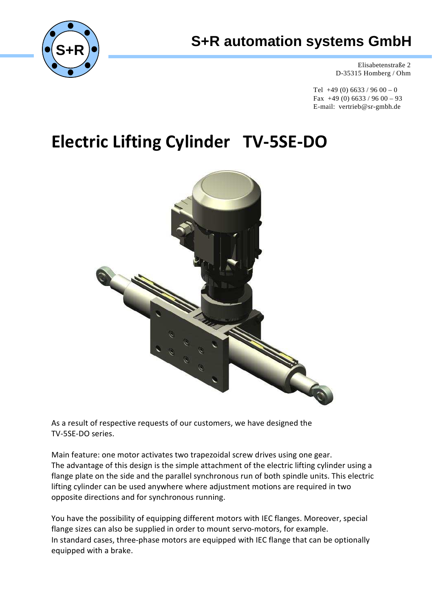

## **S+R automation systems GmbH**

Elisabetenstraße 2 D-35315 Homberg / Ohm

Tel  $+49(0)$  6633 / 96 00 – 0 Fax  $+49(0)$  6633 / 96 00 – 93 E-mail: vertrieb@sr-gmbh.de

# **Electric Lifting Cylinder TV-5SE-DO**



As a result of respective requests of our customers, we have designed the TV-5SE-DO series.

Main feature: one motor activates two trapezoidal screw drives using one gear. The advantage of this design is the simple attachment of the electric lifting cylinder using a flange plate on the side and the parallel synchronous run of both spindle units. This electric lifting cylinder can be used anywhere where adjustment motions are required in two opposite directions and for synchronous running.

You have the possibility of equipping different motors with IEC flanges. Moreover, special flange sizes can also be supplied in order to mount servo-motors, for example. In standard cases, three-phase motors are equipped with IEC flange that can be optionally equipped with a brake.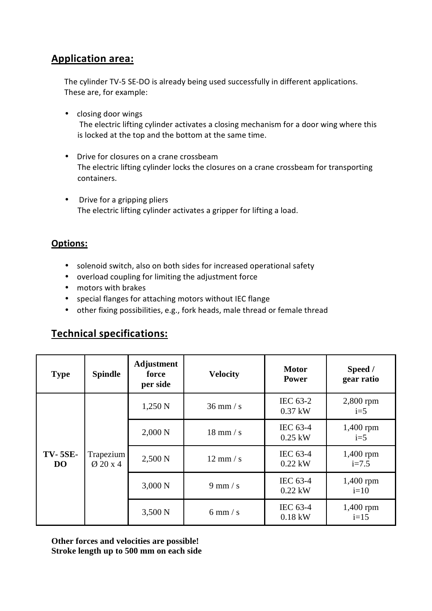### **Application area:**

The cylinder TV-5 SE-DO is already being used successfully in different applications. These are, for example:

- closing door wings The electric lifting cylinder activates a closing mechanism for a door wing where this is locked at the top and the bottom at the same time.
- Drive for closures on a crane crossbeam The electric lifting cylinder locks the closures on a crane crossbeam for transporting containers.
- Drive for a gripping pliers The electric lifting cylinder activates a gripper for lifting a load.

#### **Options:**

- solenoid switch, also on both sides for increased operational safety
- overload coupling for limiting the adjustment force
- motors with brakes
- special flanges for attaching motors without IEC flange
- other fixing possibilities, e.g., fork heads, male thread or female thread

### **Technical specifications:**

| <b>Type</b>                 | <b>Spindle</b>                    | <b>Adjustment</b><br>force<br>per side | <b>Velocity</b>                    | <b>Motor</b><br>Power | Speed /<br>gear ratio  |
|-----------------------------|-----------------------------------|----------------------------------------|------------------------------------|-----------------------|------------------------|
| <b>TV-5SE-</b><br><b>DO</b> | Trapezium<br>$\varnothing$ 20 x 4 | 1,250 N                                | $36$ mm $\frac{\text{}}{\text{s}}$ | IEC 63-2<br>$0.37$ kW | $2,800$ rpm<br>$i=5$   |
|                             |                                   | 2,000 N                                | $18$ mm $/s$                       | IEC 63-4<br>$0.25$ kW | $1,400$ rpm<br>$i=5$   |
|                             |                                   | 2,500 N                                | $12 \text{ mm/s}$                  | IEC 63-4<br>$0.22$ kW | $1,400$ rpm<br>$i=7.5$ |
|                             |                                   | 3,000 N                                | $9 \text{ mm/s}$                   | IEC 63-4<br>$0.22$ kW | 1,400 rpm<br>$i=10$    |
|                             |                                   | 3,500 N                                | $6$ mm $/s$                        | IEC 63-4<br>$0.18$ kW | 1,400 rpm<br>$i=15$    |

**Other forces and velocities are possible! Stroke length up to 500 mm on each side**